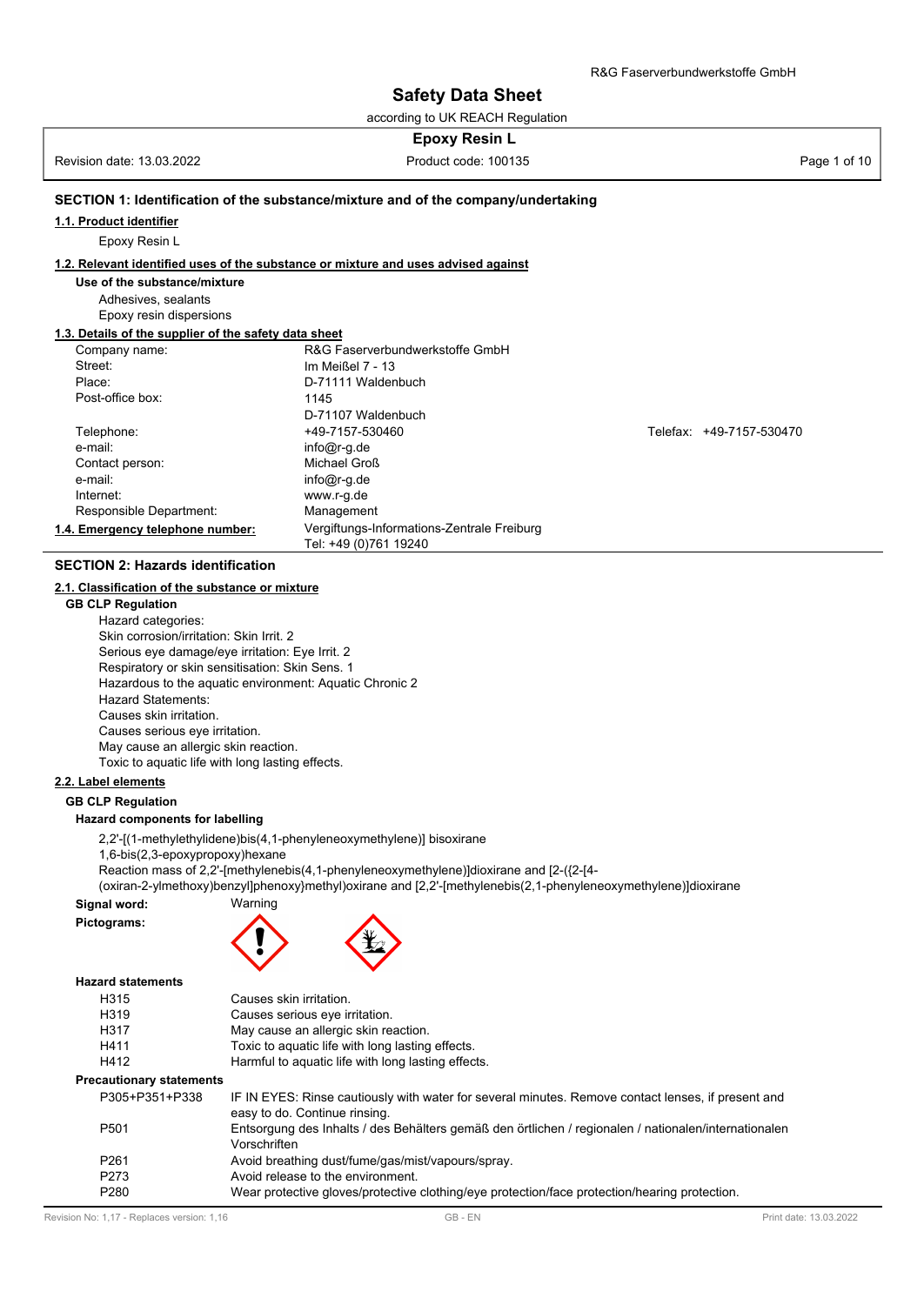according to UK REACH Regulation

# **Epoxy Resin L**

Revision date: 13.03.2022 **Product code: 100135** Product code: 100135

region reposition distont complete

# **SECTION 1: Identification of the substance/mixture and of the company/undertaking**

#### **1.1. Product identifier**

Epoxy Resin L

#### **1.2. Relevant identified uses of the substance or mixture and uses advised against**

**Use of the substance/mixture**

Adhesives, sealants Epoxy resin dispersions

#### **1.3. Details of the supplier of the safety data sheet**

| Company name:                    | R&G Faserverbundwerkstoffe GmbH            |                          |  |
|----------------------------------|--------------------------------------------|--------------------------|--|
| Street:                          | Im Meißel $7 - 13$                         |                          |  |
| Place:                           | D-71111 Waldenbuch                         |                          |  |
| Post-office box:                 | 1145                                       |                          |  |
|                                  | D-71107 Waldenbuch                         |                          |  |
| Telephone:                       | +49-7157-530460                            | Telefax: +49-7157-530470 |  |
| e-mail:                          | $info@r-g.de$                              |                          |  |
| Contact person:                  | Michael Groß                               |                          |  |
| e-mail:                          | $info@r-g.de$                              |                          |  |
| Internet:                        | www.r-g.de                                 |                          |  |
| Responsible Department:          | Management                                 |                          |  |
| 1.4. Emergency telephone number: | Vergiftungs-Informations-Zentrale Freiburg |                          |  |
|                                  | Tel: +49 (0)761 19240                      |                          |  |
|                                  |                                            |                          |  |

# **SECTION 2: Hazards identification**

# **2.1. Classification of the substance or mixture**

**GB CLP Regulation** Hazard categories: Skin corrosion/irritation: Skin Irrit. 2 Serious eye damage/eye irritation: Eye Irrit. 2 Respiratory or skin sensitisation: Skin Sens. 1 Hazardous to the aquatic environment: Aquatic Chronic 2 Hazard Statements: Causes skin irritation. Causes serious eye irritation. May cause an allergic skin reaction. Toxic to aquatic life with long lasting effects.

#### **2.2. Label elements**

#### **GB CLP Regulation**

#### **Hazard components for labelling**

2,2'-[(1-methylethylidene)bis(4,1-phenyleneoxymethylene)] bisoxirane

1,6-bis(2,3-epoxypropoxy)hexane

Reaction mass of 2,2'-[methylenebis(4,1-phenyleneoxymethylene)]dioxirane and [2-({2-[4-

(oxiran-2-ylmethoxy)benzyl]phenoxy}methyl)oxirane and [2,2'-[methylenebis(2,1-phenyleneoxymethylene)]dioxirane

# **Signal word:** Warning





#### **Hazard statements**

| H315                            | Causes skin irritation.                                                                                                             |
|---------------------------------|-------------------------------------------------------------------------------------------------------------------------------------|
| H319                            | Causes serious eye irritation.                                                                                                      |
| H317                            | May cause an allergic skin reaction.                                                                                                |
| H411                            | Toxic to aquatic life with long lasting effects.                                                                                    |
| H412                            | Harmful to aquatic life with long lasting effects.                                                                                  |
| <b>Precautionary statements</b> |                                                                                                                                     |
| P305+P351+P338                  | IF IN EYES: Rinse cautiously with water for several minutes. Remove contact lenses, if present and<br>easy to do. Continue rinsing. |
| P <sub>501</sub>                | Entsorgung des Inhalts / des Behälters gemäß den örtlichen / regionalen / nationalen/internationalen<br>Vorschriften                |
| P <sub>261</sub>                | Avoid breathing dust/fume/gas/mist/vapours/spray.                                                                                   |
| P <sub>273</sub>                | Avoid release to the environment.                                                                                                   |
| P <sub>280</sub>                | Wear protective gloves/protective clothing/eye protection/face protection/hearing protection.                                       |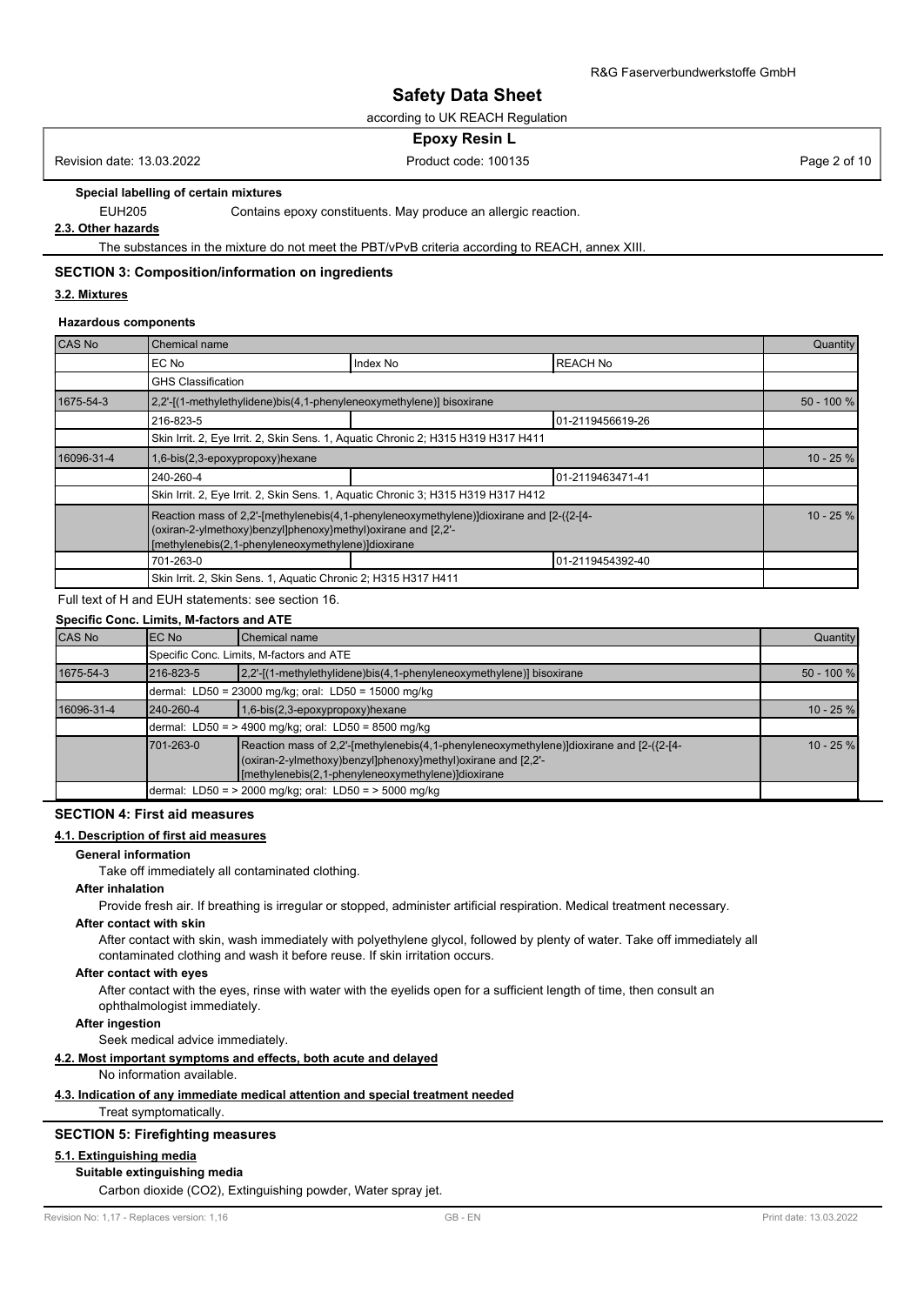according to UK REACH Regulation

#### **Epoxy Resin L**

Revision date: 13.03.2022 **Product code: 100135** Product code: 100135 Page 2 of 10

**Special labelling of certain mixtures**

EUH205 Contains epoxy constituents. May produce an allergic reaction.

**2.3. Other hazards**

The substances in the mixture do not meet the PBT/vPvB criteria according to REACH, annex XIII.

#### **SECTION 3: Composition/information on ingredients**

#### **3.2. Mixtures**

#### **Hazardous components**

| CAS No     | Chemical name                                                                                                                                                                                                 |          |                  | Quantity   |  |
|------------|---------------------------------------------------------------------------------------------------------------------------------------------------------------------------------------------------------------|----------|------------------|------------|--|
|            | EC No                                                                                                                                                                                                         | Index No | <b>REACH No</b>  |            |  |
|            | <b>GHS Classification</b>                                                                                                                                                                                     |          |                  |            |  |
| 1675-54-3  | 2,2'-[(1-methylethylidene)bis(4,1-phenyleneoxymethylene)] bisoxirane                                                                                                                                          |          |                  | 50 - 100 % |  |
|            | 01-2119456619-26<br>216-823-5                                                                                                                                                                                 |          |                  |            |  |
|            | Skin Irrit. 2, Eye Irrit. 2, Skin Sens. 1, Aquatic Chronic 2; H315 H319 H317 H411                                                                                                                             |          |                  |            |  |
| 16096-31-4 | 1,6-bis(2,3-epoxypropoxy)hexane                                                                                                                                                                               |          |                  |            |  |
|            | 240-260-4                                                                                                                                                                                                     |          | 01-2119463471-41 |            |  |
|            | Skin Irrit. 2, Eye Irrit. 2, Skin Sens. 1, Aquatic Chronic 3; H315 H319 H317 H412                                                                                                                             |          |                  |            |  |
|            | Reaction mass of 2,2'-[methylenebis(4,1-phenyleneoxymethylene)]dioxirane and [2-({2-[4-<br>(oxiran-2-ylmethoxy)benzyl]phenoxy}methyl)oxirane and [2,2'-<br>[methylenebis(2,1-phenyleneoxymethylene)]dioxirane |          |                  |            |  |
|            | 701-263-0                                                                                                                                                                                                     |          | 01-2119454392-40 |            |  |
|            | Skin Irrit. 2, Skin Sens. 1, Aquatic Chronic 2; H315 H317 H411                                                                                                                                                |          |                  |            |  |

# Full text of H and EUH statements: see section 16.

| Specific Conc. Limits, M-factors and ATE |
|------------------------------------------|
|------------------------------------------|

| CAS No     | <b>IEC No</b>                                        | Chemical name                                                                                                                                                                                                   | Quantity    |  |  |  |  |  |
|------------|------------------------------------------------------|-----------------------------------------------------------------------------------------------------------------------------------------------------------------------------------------------------------------|-------------|--|--|--|--|--|
|            |                                                      | Specific Conc. Limits, M-factors and ATE                                                                                                                                                                        |             |  |  |  |  |  |
| 1675-54-3  | 216-823-5                                            | $[2,2'-[(1-methylethylidene)bis(4,1-phenyleneoxymethylene)]$ bisoxirane                                                                                                                                         |             |  |  |  |  |  |
|            |                                                      | dermal: LD50 = 23000 mg/kg; oral: LD50 = 15000 mg/kg                                                                                                                                                            |             |  |  |  |  |  |
| 16096-31-4 | 240-260-4                                            | $1,6-bis(2,3-epoxypropoxy)$ hexane                                                                                                                                                                              |             |  |  |  |  |  |
|            | dermal: LD50 = > 4900 mg/kg; oral: LD50 = 8500 mg/kg |                                                                                                                                                                                                                 |             |  |  |  |  |  |
|            | 701-263-0                                            | Reaction mass of 2,2'-[methylenebis(4,1-phenyleneoxymethylene)]dioxirane and [2-({2-[4-]]<br>(oxiran-2-ylmethoxy)benzyl]phenoxy}methyl)oxirane and [2,2'-<br>[methylenebis(2,1-phenyleneoxymethylene)]dioxirane | $10 - 25 %$ |  |  |  |  |  |
|            |                                                      | dermal: LD50 = $>$ 2000 mg/kg; oral: LD50 = $>$ 5000 mg/kg                                                                                                                                                      |             |  |  |  |  |  |

#### **SECTION 4: First aid measures**

#### **4.1. Description of first aid measures**

#### **General information**

Take off immediately all contaminated clothing.

# **After inhalation**

Provide fresh air. If breathing is irregular or stopped, administer artificial respiration. Medical treatment necessary.

#### **After contact with skin**

After contact with skin, wash immediately with polyethylene glycol, followed by plenty of water. Take off immediately all contaminated clothing and wash it before reuse. If skin irritation occurs.

#### **After contact with eyes**

After contact with the eyes, rinse with water with the eyelids open for a sufficient length of time, then consult an ophthalmologist immediately.

# **After ingestion**

Seek medical advice immediately.

#### **4.2. Most important symptoms and effects, both acute and delayed**

#### No information available.

# **4.3. Indication of any immediate medical attention and special treatment needed**

Treat symptomatically.

#### **SECTION 5: Firefighting measures**

# **5.1. Extinguishing media**

# **Suitable extinguishing media**

Carbon dioxide (CO2), Extinguishing powder, Water spray jet.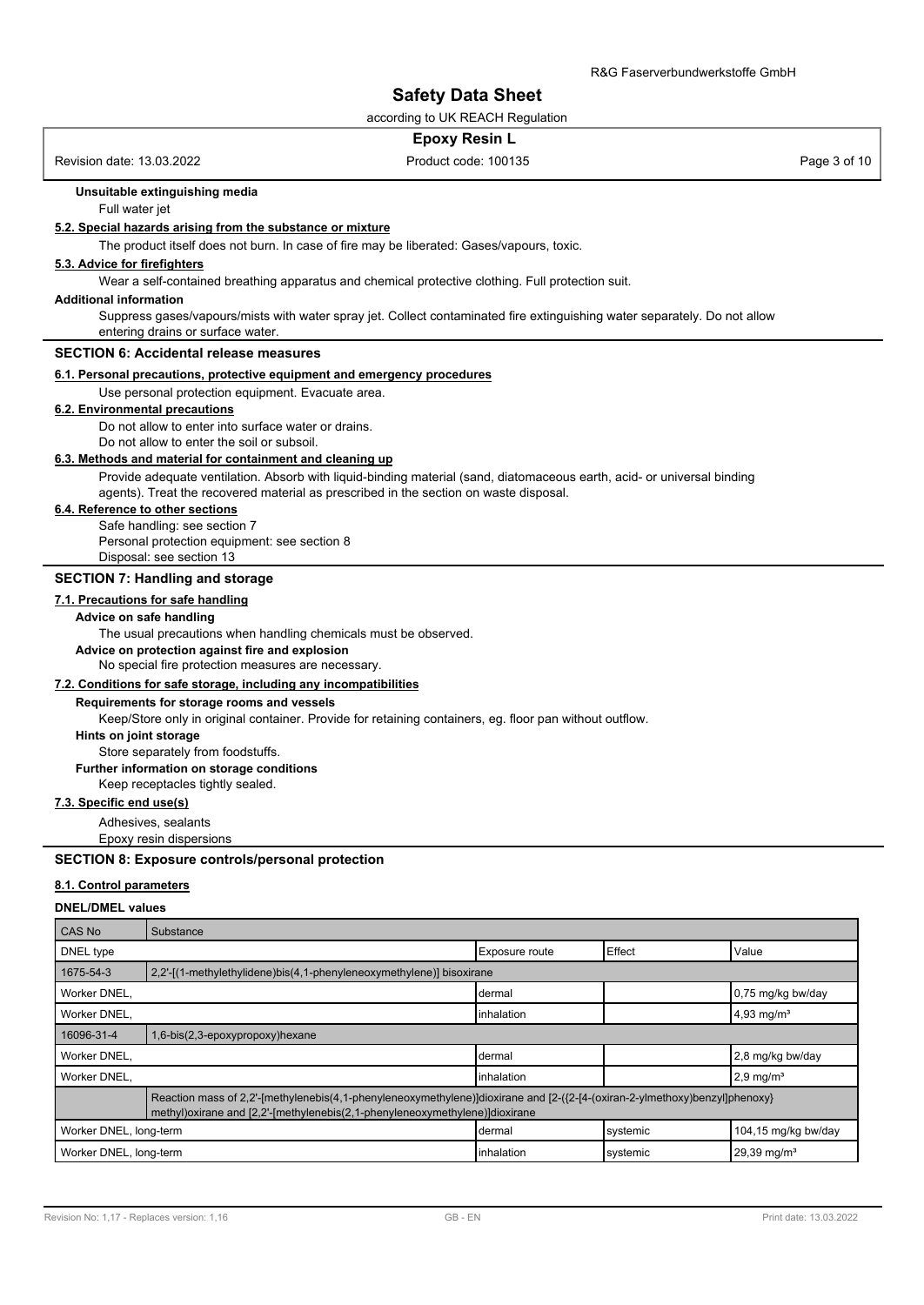according to UK REACH Regulation

#### **Epoxy Resin L**

Revision date: 13.03.2022 **Product code: 100135** Product code: 100135 Page 3 of 10

# **Unsuitable extinguishing media**

Full water jet

#### **5.2. Special hazards arising from the substance or mixture**

The product itself does not burn. In case of fire may be liberated: Gases/vapours, toxic.

#### **5.3. Advice for firefighters**

Wear a self-contained breathing apparatus and chemical protective clothing. Full protection suit.

#### **Additional information**

Suppress gases/vapours/mists with water spray jet. Collect contaminated fire extinguishing water separately. Do not allow entering drains or surface water.

# **SECTION 6: Accidental release measures**

#### **6.1. Personal precautions, protective equipment and emergency procedures**

Use personal protection equipment. Evacuate area.

# **6.2. Environmental precautions**

Do not allow to enter into surface water or drains.

Do not allow to enter the soil or subsoil.

# **6.3. Methods and material for containment and cleaning up**

Provide adequate ventilation. Absorb with liquid-binding material (sand, diatomaceous earth, acid- or universal binding agents). Treat the recovered material as prescribed in the section on waste disposal.

#### **6.4. Reference to other sections**

Safe handling: see section 7 Personal protection equipment: see section 8 Disposal: see section 13

#### **SECTION 7: Handling and storage**

**7.1. Precautions for safe handling**

#### **Advice on safe handling**

The usual precautions when handling chemicals must be observed.

**Advice on protection against fire and explosion**

No special fire protection measures are necessary.

#### **7.2. Conditions for safe storage, including any incompatibilities**

**Requirements for storage rooms and vessels**

Keep/Store only in original container. Provide for retaining containers, eg. floor pan without outflow.

# **Hints on joint storage**

Store separately from foodstuffs.

**Further information on storage conditions**

Keep receptacles tightly sealed.

# **7.3. Specific end use(s)**

Adhesives, sealants

Epoxy resin dispersions

#### **SECTION 8: Exposure controls/personal protection**

#### **8.1. Control parameters**

#### **DNEL/DMEL values**

| CAS No                                                                       | Substance                                                                                                                                                                                                   |                 |          |                          |  |
|------------------------------------------------------------------------------|-------------------------------------------------------------------------------------------------------------------------------------------------------------------------------------------------------------|-----------------|----------|--------------------------|--|
| DNEL type                                                                    |                                                                                                                                                                                                             | Exposure route  | Effect   | Value                    |  |
| 1675-54-3                                                                    | 2,2'-[(1-methylethylidene)bis(4,1-phenyleneoxymethylene)] bisoxirane                                                                                                                                        |                 |          |                          |  |
| Worker DNEL,                                                                 |                                                                                                                                                                                                             | dermal          |          | 0,75 mg/kg bw/day        |  |
| Worker DNEL,                                                                 |                                                                                                                                                                                                             | linhalation     |          | $4,93$ mg/m <sup>3</sup> |  |
| 16096-31-4<br>1,6-bis(2,3-epoxypropoxy)hexane                                |                                                                                                                                                                                                             |                 |          |                          |  |
| Worker DNEL,                                                                 |                                                                                                                                                                                                             | <b>I</b> dermal |          | 2,8 mg/kg bw/day         |  |
| Worker DNEL.                                                                 |                                                                                                                                                                                                             | linhalation     |          | $2,9$ mg/m <sup>3</sup>  |  |
|                                                                              | Reaction mass of 2,2'-[methylenebis(4,1-phenyleneoxymethylene)]dioxirane and [2-({2-[4-(oxiran-2-ylmethoxy)benzyl]phenoxy}<br>methyl) oxirane and [2,2'-[methylenebis(2,1-phenyleneoxymethylene)] dioxirane |                 |          |                          |  |
| 104,15 mg/kg bw/day<br>Worker DNEL, long-term<br>systemic<br><b>I</b> dermal |                                                                                                                                                                                                             |                 |          |                          |  |
| Worker DNEL, long-term                                                       |                                                                                                                                                                                                             | linhalation     | systemic | $29,39 \text{ mg/m}^3$   |  |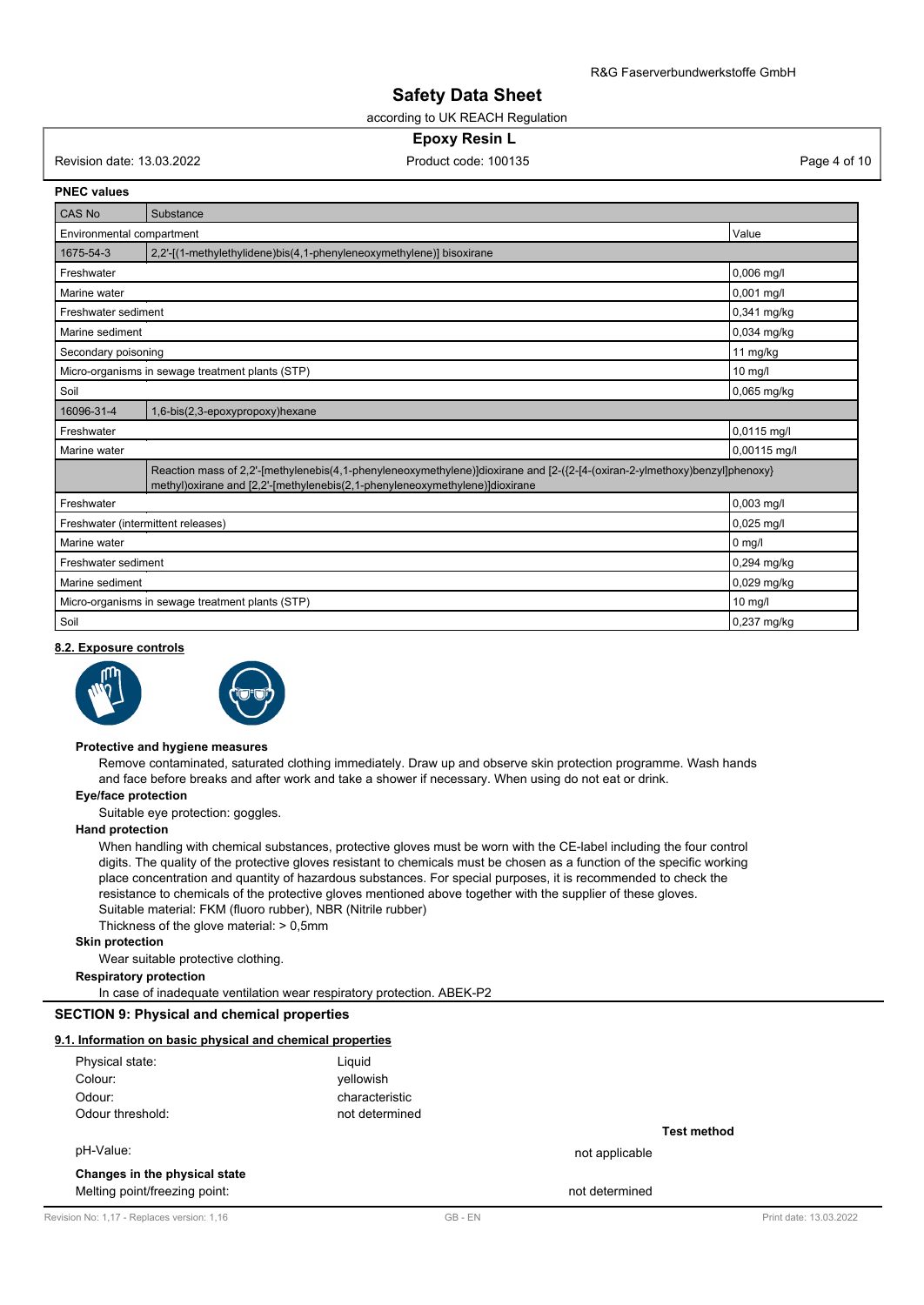according to UK REACH Regulation

#### **Epoxy Resin L**

Revision date: 13.03.2022 **Product code: 100135** Product code: 100135 Page 4 of 10

**PNEC values**

| CAS No                    | Substance                                                                                                                                                                                                   |              |
|---------------------------|-------------------------------------------------------------------------------------------------------------------------------------------------------------------------------------------------------------|--------------|
| Environmental compartment |                                                                                                                                                                                                             | Value        |
| 1675-54-3                 | 2,2'-[(1-methylethylidene)bis(4,1-phenyleneoxymethylene)] bisoxirane                                                                                                                                        |              |
| Freshwater                |                                                                                                                                                                                                             | 0,006 mg/l   |
| Marine water              |                                                                                                                                                                                                             | $0,001$ mg/l |
| Freshwater sediment       |                                                                                                                                                                                                             | 0,341 mg/kg  |
| Marine sediment           |                                                                                                                                                                                                             | 0,034 mg/kg  |
| Secondary poisoning       |                                                                                                                                                                                                             | 11 mg/kg     |
|                           | Micro-organisms in sewage treatment plants (STP)                                                                                                                                                            | 10 mg/l      |
| Soil                      |                                                                                                                                                                                                             | 0,065 mg/kg  |
| 16096-31-4                | 1,6-bis(2,3-epoxypropoxy)hexane                                                                                                                                                                             |              |
| Freshwater                |                                                                                                                                                                                                             | 0,0115 mg/l  |
| Marine water              |                                                                                                                                                                                                             | 0,00115 mg/l |
|                           | Reaction mass of 2,2'-[methylenebis(4,1-phenyleneoxymethylene)]dioxirane and [2-({2-[4-(oxiran-2-ylmethoxy)benzyl]phenoxy}<br>methyl) oxirane and [2,2'-[methylenebis(2,1-phenyleneoxymethylene)] dioxirane |              |
| Freshwater                |                                                                                                                                                                                                             | $0,003$ mq/l |
|                           | Freshwater (intermittent releases)                                                                                                                                                                          | $0,025$ mg/l |
| Marine water              |                                                                                                                                                                                                             | $0$ mg/l     |
| Freshwater sediment       |                                                                                                                                                                                                             | 0,294 mg/kg  |
| Marine sediment           |                                                                                                                                                                                                             | 0,029 mg/kg  |
|                           | Micro-organisms in sewage treatment plants (STP)                                                                                                                                                            | $10$ mg/l    |
| Soil                      |                                                                                                                                                                                                             | 0,237 mg/kg  |

#### **8.2. Exposure controls**





#### **Protective and hygiene measures**

Remove contaminated, saturated clothing immediately. Draw up and observe skin protection programme. Wash hands and face before breaks and after work and take a shower if necessary. When using do not eat or drink.

# **Eye/face protection**

Suitable eye protection: goggles.

# **Hand protection**

When handling with chemical substances, protective gloves must be worn with the CE-label including the four control digits. The quality of the protective gloves resistant to chemicals must be chosen as a function of the specific working place concentration and quantity of hazardous substances. For special purposes, it is recommended to check the resistance to chemicals of the protective gloves mentioned above together with the supplier of these gloves. Suitable material: FKM (fluoro rubber), NBR (Nitrile rubber) Thickness of the glove material: > 0,5mm

**Skin protection**

Wear suitable protective clothing.

**Respiratory protection**

In case of inadequate ventilation wear respiratory protection. ABEK-P2

# **SECTION 9: Physical and chemical properties**

#### **9.1. Information on basic physical and chemical properties**

| Physical state:  | Liguid         |                |
|------------------|----------------|----------------|
| Colour:          | vellowish      |                |
| Odour:           | characteristic |                |
| Odour threshold: | not determined |                |
|                  |                |                |
| pH-Value:        |                | not applicable |

#### **Changes in the physical state**

Melting point/freezing point: not determined

**Test method**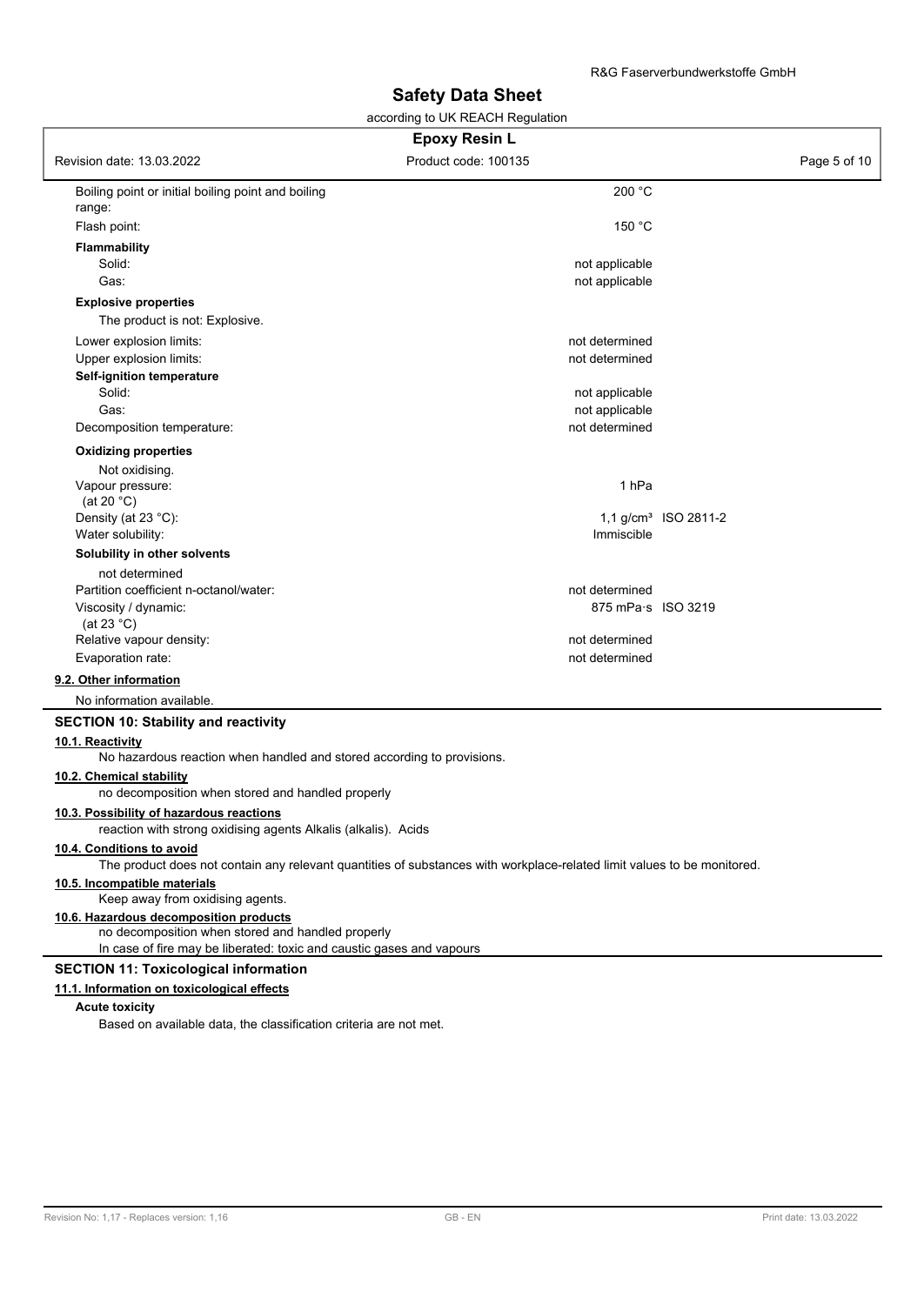according to UK REACH Regulation

| <b>Epoxy Resin L</b>                                                                                                    |                                  |                        |  |  |
|-------------------------------------------------------------------------------------------------------------------------|----------------------------------|------------------------|--|--|
| Revision date: 13.03.2022                                                                                               | Product code: 100135             | Page 5 of 10           |  |  |
| Boiling point or initial boiling point and boiling<br>range:                                                            | 200 °C                           |                        |  |  |
| Flash point:                                                                                                            | 150 °C                           |                        |  |  |
| <b>Flammability</b>                                                                                                     |                                  |                        |  |  |
| Solid:                                                                                                                  | not applicable                   |                        |  |  |
| Gas:                                                                                                                    | not applicable                   |                        |  |  |
| <b>Explosive properties</b>                                                                                             |                                  |                        |  |  |
| The product is not: Explosive.                                                                                          |                                  |                        |  |  |
| Lower explosion limits:                                                                                                 | not determined                   |                        |  |  |
| Upper explosion limits:                                                                                                 | not determined                   |                        |  |  |
| Self-ignition temperature                                                                                               |                                  |                        |  |  |
| Solid:                                                                                                                  | not applicable                   |                        |  |  |
| Gas:                                                                                                                    | not applicable<br>not determined |                        |  |  |
| Decomposition temperature:                                                                                              |                                  |                        |  |  |
| <b>Oxidizing properties</b>                                                                                             |                                  |                        |  |  |
| Not oxidising.                                                                                                          |                                  |                        |  |  |
| Vapour pressure:                                                                                                        | 1 <sub>hPa</sub>                 |                        |  |  |
| (at 20 $°C$ )<br>Density (at 23 °C):                                                                                    |                                  | 1,1 $g/cm3$ ISO 2811-2 |  |  |
| Water solubility:                                                                                                       | Immiscible                       |                        |  |  |
| Solubility in other solvents                                                                                            |                                  |                        |  |  |
| not determined                                                                                                          |                                  |                        |  |  |
| Partition coefficient n-octanol/water:                                                                                  | not determined                   |                        |  |  |
| Viscosity / dynamic:                                                                                                    | 875 mPa s ISO 3219               |                        |  |  |
| (at 23 $^{\circ}$ C)                                                                                                    |                                  |                        |  |  |
| Relative vapour density:                                                                                                | not determined                   |                        |  |  |
| Evaporation rate:                                                                                                       | not determined                   |                        |  |  |
| 9.2. Other information                                                                                                  |                                  |                        |  |  |
| No information available.                                                                                               |                                  |                        |  |  |
| <b>SECTION 10: Stability and reactivity</b>                                                                             |                                  |                        |  |  |
| 10.1. Reactivity<br>No hazardous reaction when handled and stored according to provisions.                              |                                  |                        |  |  |
| 10.2. Chemical stability<br>no decomposition when stored and handled properly                                           |                                  |                        |  |  |
| 10.3. Possibility of hazardous reactions                                                                                |                                  |                        |  |  |
| reaction with strong oxidising agents Alkalis (alkalis). Acids                                                          |                                  |                        |  |  |
| 10.4. Conditions to avoid                                                                                               |                                  |                        |  |  |
| The product does not contain any relevant quantities of substances with workplace-related limit values to be monitored. |                                  |                        |  |  |
| 10.5. Incompatible materials<br>Keep away from oxidising agents.                                                        |                                  |                        |  |  |
| 10.6. Hazardous decomposition products                                                                                  |                                  |                        |  |  |
| no decomposition when stored and handled properly                                                                       |                                  |                        |  |  |
| In case of fire may be liberated: toxic and caustic gases and vapours                                                   |                                  |                        |  |  |
| <b>SECTION 11: Toxicological information</b>                                                                            |                                  |                        |  |  |
| 11.1. Information on toxicological effects                                                                              |                                  |                        |  |  |
| <b>Acute toxicity</b>                                                                                                   |                                  |                        |  |  |
| Based on available data, the classification criteria are not met.                                                       |                                  |                        |  |  |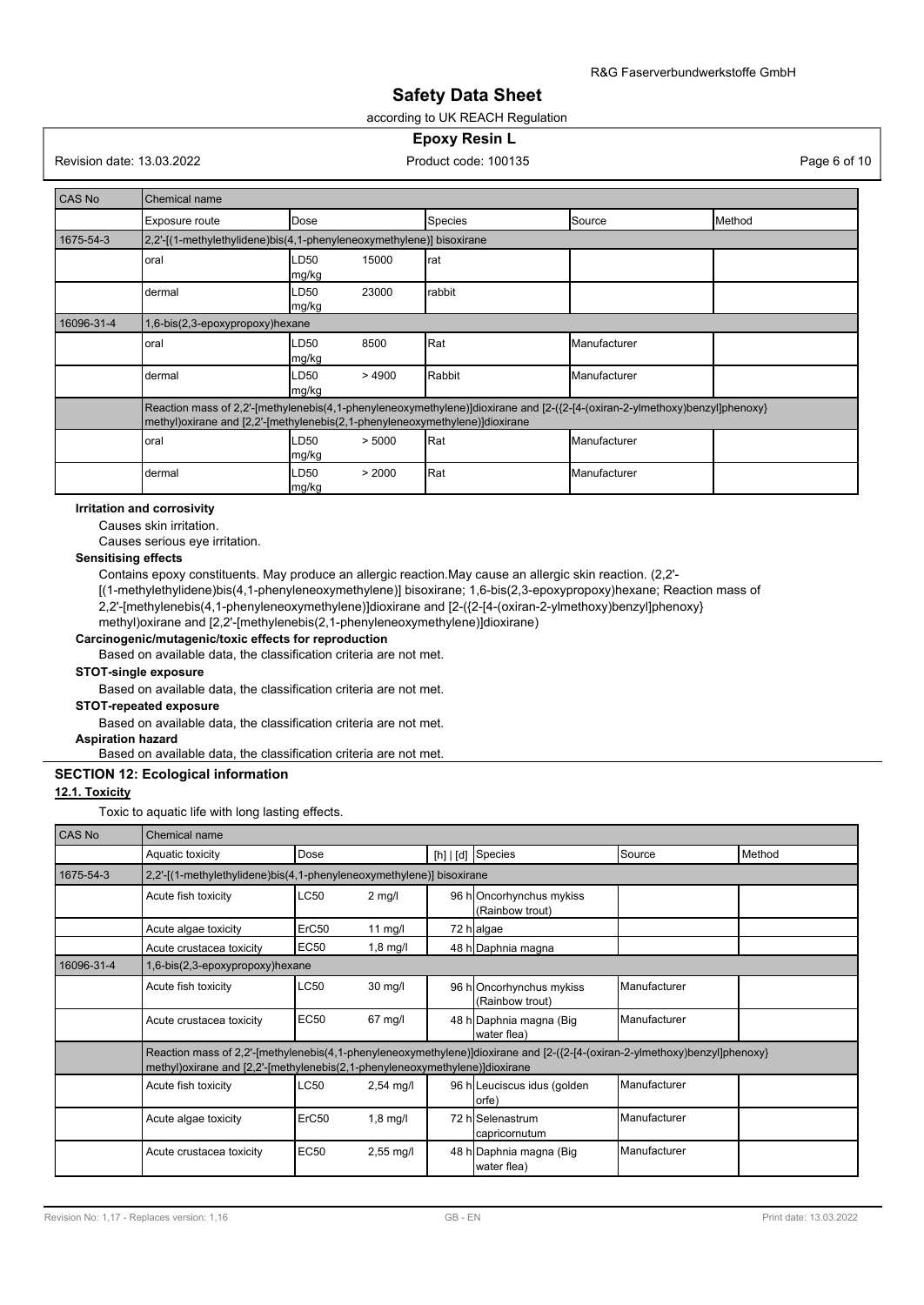#### according to UK REACH Regulation

#### **Epoxy Resin L**

Revision date: 13.03.2022 **Product code: 100135** Product code: 100135 Page 6 of 10

| CAS No     | Chemical name                                                                                                                                                                                               |                         |         |              |                 |  |  |
|------------|-------------------------------------------------------------------------------------------------------------------------------------------------------------------------------------------------------------|-------------------------|---------|--------------|-----------------|--|--|
|            | Exposure route                                                                                                                                                                                              | Dose                    | Species | Source       | <b>I</b> Method |  |  |
| 1675-54-3  | 2,2'-[(1-methylethylidene)bis(4,1-phenyleneoxymethylene)] bisoxirane                                                                                                                                        |                         |         |              |                 |  |  |
|            | oral                                                                                                                                                                                                        | LD50<br>15000<br>mg/kg  | rat     |              |                 |  |  |
|            | dermal                                                                                                                                                                                                      | 23000<br>LD50<br>mg/kg  | rabbit  |              |                 |  |  |
| 16096-31-4 | 1,6-bis(2,3-epoxypropoxy)hexane                                                                                                                                                                             |                         |         |              |                 |  |  |
|            | oral                                                                                                                                                                                                        | LD50<br>8500<br>mg/kg   | Rat     | Manufacturer |                 |  |  |
|            | dermal                                                                                                                                                                                                      | >4900<br>LD50<br>mg/kg  | Rabbit  | Manufacturer |                 |  |  |
|            | Reaction mass of 2,2'-[methylenebis(4,1-phenyleneoxymethylene)]dioxirane and [2-({2-[4-(oxiran-2-ylmethoxy)benzyl]phenoxy}<br>methyl) oxirane and [2,2'-[methylenebis(2,1-phenyleneoxymethylene)] dioxirane |                         |         |              |                 |  |  |
|            | Rat<br>LD50<br>> 5000<br>Manufacturer<br>oral<br>mg/kg                                                                                                                                                      |                         |         |              |                 |  |  |
|            | dermal                                                                                                                                                                                                      | > 2000<br>LD50<br>mg/kg | Rat     | Manufacturer |                 |  |  |

#### **Irritation and corrosivity**

Causes skin irritation.

Causes serious eye irritation.

#### **Sensitising effects**

Contains epoxy constituents. May produce an allergic reaction.May cause an allergic skin reaction. (2,2'-

[(1-methylethylidene)bis(4,1-phenyleneoxymethylene)] bisoxirane; 1,6-bis(2,3-epoxypropoxy)hexane; Reaction mass of 2,2'-[methylenebis(4,1-phenyleneoxymethylene)]dioxirane and [2-({2-[4-(oxiran-2-ylmethoxy)benzyl]phenoxy}

methyl)oxirane and [2,2'-[methylenebis(2,1-phenyleneoxymethylene)]dioxirane)

# **Carcinogenic/mutagenic/toxic effects for reproduction**

Based on available data, the classification criteria are not met.

#### **STOT-single exposure**

Based on available data, the classification criteria are not met.

**STOT-repeated exposure**

Based on available data, the classification criteria are not met.

# **Aspiration hazard**

Based on available data, the classification criteria are not met.

#### **SECTION 12: Ecological information**

# **12.1. Toxicity**

Toxic to aquatic life with long lasting effects.

| <b>CAS No</b> | Chemical name                                                                                                                                                                                               |             |             |  |                                              |              |        |
|---------------|-------------------------------------------------------------------------------------------------------------------------------------------------------------------------------------------------------------|-------------|-------------|--|----------------------------------------------|--------------|--------|
|               | Aquatic toxicity                                                                                                                                                                                            | Dose        |             |  | [h] $\vert$ [d] Species                      | Source       | Method |
| 1675-54-3     | 2,2'-[(1-methylethylidene)bis(4,1-phenyleneoxymethylene)] bisoxirane                                                                                                                                        |             |             |  |                                              |              |        |
|               | Acute fish toxicity                                                                                                                                                                                         | LC50        | $2$ mg/l    |  | 96 ho Oncorhynchus mykiss<br>(Rainbow trout) |              |        |
|               | Acute algae toxicity                                                                                                                                                                                        | ErC50       | 11 $mg/l$   |  | 72 h algae                                   |              |        |
|               | Acute crustacea toxicity                                                                                                                                                                                    | EC50        | $1,8$ mg/l  |  | 48 h Daphnia magna                           |              |        |
| 16096-31-4    | 1,6-bis(2,3-epoxypropoxy)hexane                                                                                                                                                                             |             |             |  |                                              |              |        |
|               | Acute fish toxicity                                                                                                                                                                                         | LC50        | $30$ mg/l   |  | 96 h Oncorhynchus mykiss<br>(Rainbow trout)  | Manufacturer |        |
|               | Acute crustacea toxicity                                                                                                                                                                                    | <b>EC50</b> | $67$ mg/l   |  | 48 h Daphnia magna (Big<br>water flea)       | Manufacturer |        |
|               | Reaction mass of 2,2'-[methylenebis(4,1-phenyleneoxymethylene)]dioxirane and [2-({2-[4-(oxiran-2-ylmethoxy)benzyl]phenoxy}<br>methyl) oxirane and [2,2'-[methylenebis(2,1-phenyleneoxymethylene)] dioxirane |             |             |  |                                              |              |        |
|               | Acute fish toxicity                                                                                                                                                                                         | LC50        | $2,54$ mg/l |  | 96 h Leuciscus idus (golden<br>(orfe         | Manufacturer |        |
|               | Acute algae toxicity                                                                                                                                                                                        | ErC50       | $1,8$ mg/l  |  | 72 hlSelenastrum<br>capricornutum            | Manufacturer |        |
|               | Acute crustacea toxicity                                                                                                                                                                                    | <b>EC50</b> | $2,55$ mg/l |  | 48 h Daphnia magna (Big<br>water flea)       | Manufacturer |        |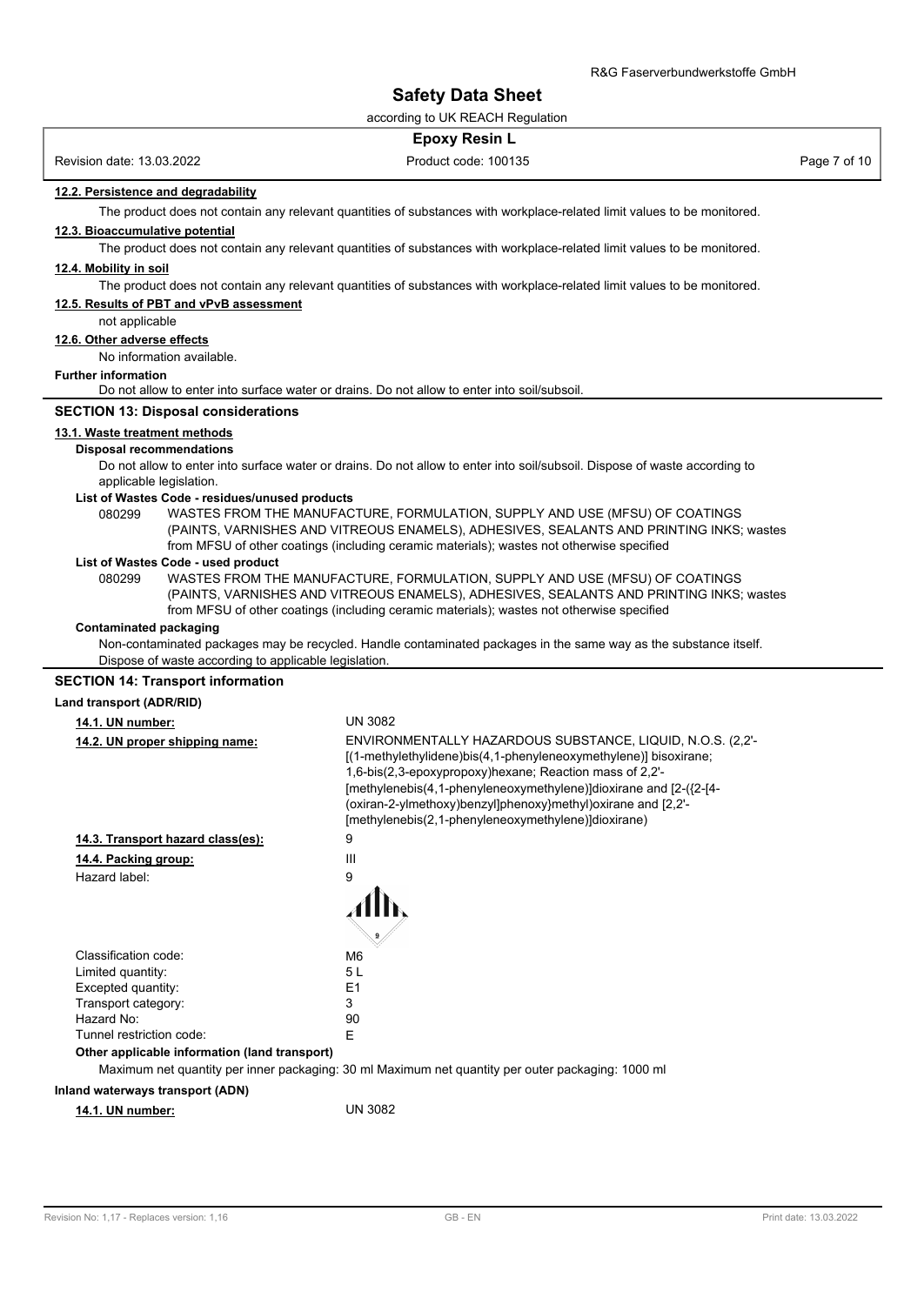according to UK REACH Regulation

|                                                            | <b>Epoxy Resin L</b>                                                                                                       |              |
|------------------------------------------------------------|----------------------------------------------------------------------------------------------------------------------------|--------------|
| Revision date: 13.03.2022                                  | Product code: 100135                                                                                                       | Page 7 of 10 |
| 12.2. Persistence and degradability                        |                                                                                                                            |              |
|                                                            | The product does not contain any relevant quantities of substances with workplace-related limit values to be monitored.    |              |
| 12.3. Bioaccumulative potential                            |                                                                                                                            |              |
|                                                            | The product does not contain any relevant quantities of substances with workplace-related limit values to be monitored.    |              |
| 12.4. Mobility in soil                                     |                                                                                                                            |              |
|                                                            | The product does not contain any relevant quantities of substances with workplace-related limit values to be monitored.    |              |
| 12.5. Results of PBT and vPvB assessment<br>not applicable |                                                                                                                            |              |
| 12.6. Other adverse effects                                |                                                                                                                            |              |
| No information available.                                  |                                                                                                                            |              |
| <b>Further information</b>                                 |                                                                                                                            |              |
|                                                            | Do not allow to enter into surface water or drains. Do not allow to enter into soil/subsoil.                               |              |
| <b>SECTION 13: Disposal considerations</b>                 |                                                                                                                            |              |
| 13.1. Waste treatment methods                              |                                                                                                                            |              |
| <b>Disposal recommendations</b>                            |                                                                                                                            |              |
|                                                            | Do not allow to enter into surface water or drains. Do not allow to enter into soil/subsoil. Dispose of waste according to |              |
| applicable legislation.                                    |                                                                                                                            |              |
| List of Wastes Code - residues/unused products<br>080299   | WASTES FROM THE MANUFACTURE, FORMULATION, SUPPLY AND USE (MFSU) OF COATINGS                                                |              |
|                                                            | (PAINTS, VARNISHES AND VITREOUS ENAMELS), ADHESIVES, SEALANTS AND PRINTING INKS; wastes                                    |              |
|                                                            | from MFSU of other coatings (including ceramic materials); wastes not otherwise specified                                  |              |
| List of Wastes Code - used product                         |                                                                                                                            |              |
| 080299                                                     | WASTES FROM THE MANUFACTURE, FORMULATION, SUPPLY AND USE (MFSU) OF COATINGS                                                |              |
|                                                            | (PAINTS, VARNISHES AND VITREOUS ENAMELS), ADHESIVES, SEALANTS AND PRINTING INKS; wastes                                    |              |
| <b>Contaminated packaging</b>                              | from MFSU of other coatings (including ceramic materials); wastes not otherwise specified                                  |              |
|                                                            | Non-contaminated packages may be recycled. Handle contaminated packages in the same way as the substance itself.           |              |
| Dispose of waste according to applicable legislation.      |                                                                                                                            |              |
| <b>SECTION 14: Transport information</b>                   |                                                                                                                            |              |
| Land transport (ADR/RID)                                   |                                                                                                                            |              |
| 14.1. UN number:                                           | <b>UN 3082</b>                                                                                                             |              |
| 14.2. UN proper shipping name:                             | ENVIRONMENTALLY HAZARDOUS SUBSTANCE, LIQUID, N.O.S. (2,2'-                                                                 |              |
|                                                            | [(1-methylethylidene)bis(4,1-phenyleneoxymethylene)] bisoxirane;                                                           |              |
|                                                            | 1,6-bis(2,3-epoxypropoxy)hexane; Reaction mass of 2,2'-                                                                    |              |
|                                                            | [methylenebis(4,1-phenyleneoxymethylene)]dioxirane and [2-({2-[4-                                                          |              |
|                                                            | (oxiran-2-ylmethoxy)benzyl]phenoxy}methyl)oxirane and [2,2'-                                                               |              |
|                                                            | [methylenebis(2,1-phenyleneoxymethylene)]dioxirane)                                                                        |              |
| 14.3. Transport hazard class(es):                          | 9                                                                                                                          |              |
| 14.4. Packing group:                                       | Ш                                                                                                                          |              |
| Hazard label:                                              | 9                                                                                                                          |              |
|                                                            |                                                                                                                            |              |
|                                                            |                                                                                                                            |              |
| Classification code:                                       | M6                                                                                                                         |              |
| Limited quantity:                                          | 5 L                                                                                                                        |              |
| Excepted quantity:                                         | E <sub>1</sub>                                                                                                             |              |
| Transport category:                                        | 3                                                                                                                          |              |
| Hazard No:<br>Tunnel restriction code:                     | 90<br>E                                                                                                                    |              |
| Other applicable information (land transport)              |                                                                                                                            |              |
|                                                            | Maximum net quantity per inner packaging: 30 ml Maximum net quantity per outer packaging: 1000 ml                          |              |
| Inland waterways transport (ADN)                           |                                                                                                                            |              |
| 14.1. UN number:                                           | <b>UN 3082</b>                                                                                                             |              |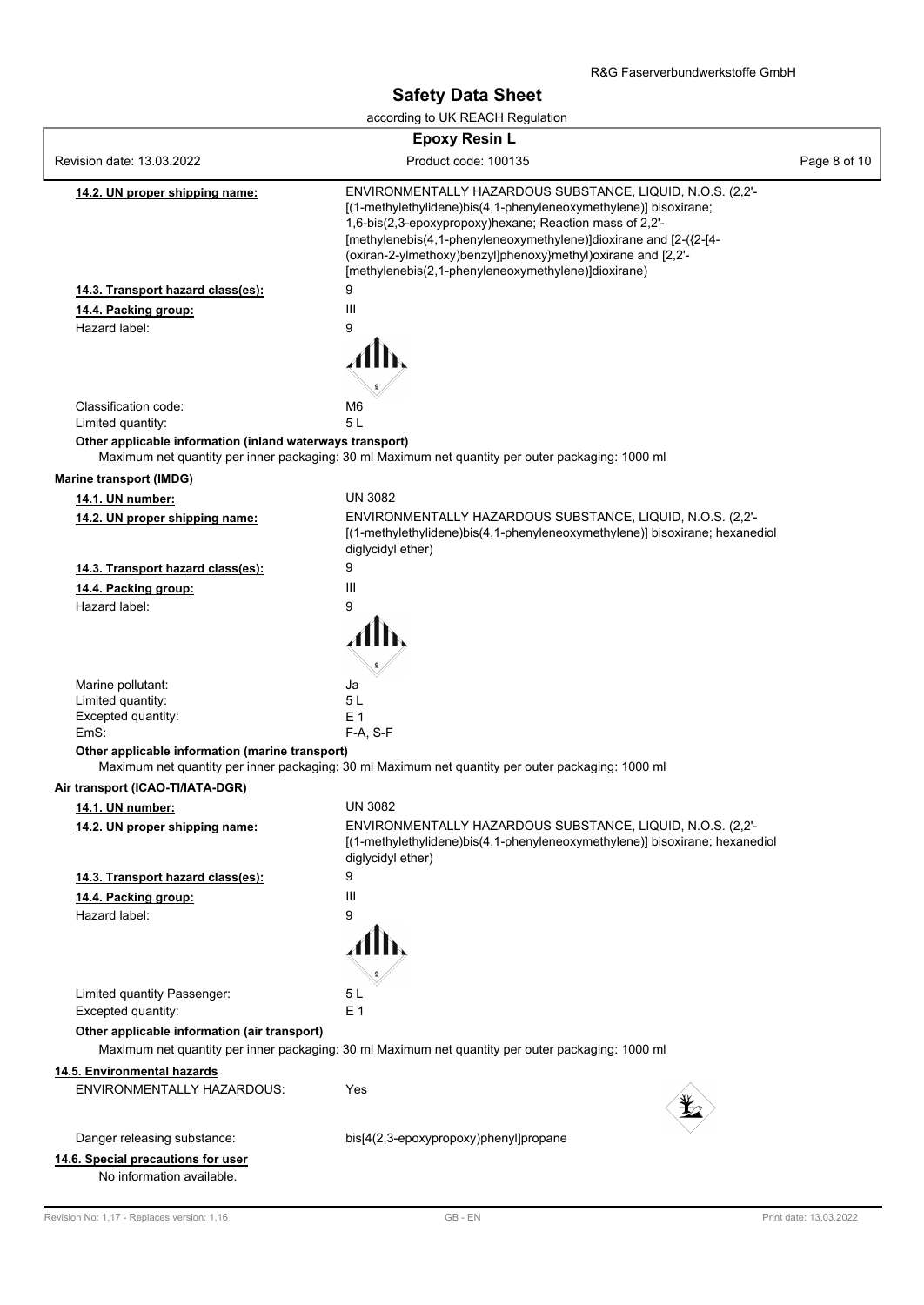according to UK REACH Regulation

| <b>Epoxy Resin L</b>                                            |                                                                                                                                                                                                                                                                                                                                                                                       |              |
|-----------------------------------------------------------------|---------------------------------------------------------------------------------------------------------------------------------------------------------------------------------------------------------------------------------------------------------------------------------------------------------------------------------------------------------------------------------------|--------------|
| Revision date: 13.03.2022                                       | Product code: 100135                                                                                                                                                                                                                                                                                                                                                                  | Page 8 of 10 |
| <u>14.2. UN proper shipping name:</u>                           | ENVIRONMENTALLY HAZARDOUS SUBSTANCE, LIQUID, N.O.S. (2,2'-<br>[(1-methylethylidene)bis(4,1-phenyleneoxymethylene)] bisoxirane;<br>1,6-bis(2,3-epoxypropoxy)hexane; Reaction mass of 2,2'-<br>[methylenebis(4,1-phenyleneoxymethylene)]dioxirane and [2-({2-[4-<br>(oxiran-2-ylmethoxy)benzyl]phenoxy}methyl)oxirane and [2,2'-<br>[methylenebis(2,1-phenyleneoxymethylene)]dioxirane) |              |
| 14.3. Transport hazard class(es):                               | 9                                                                                                                                                                                                                                                                                                                                                                                     |              |
| 14.4. Packing group:                                            | Ш                                                                                                                                                                                                                                                                                                                                                                                     |              |
| Hazard label:                                                   | 9                                                                                                                                                                                                                                                                                                                                                                                     |              |
|                                                                 |                                                                                                                                                                                                                                                                                                                                                                                       |              |
| Classification code:                                            | M <sub>6</sub>                                                                                                                                                                                                                                                                                                                                                                        |              |
| Limited quantity:                                               | 5L                                                                                                                                                                                                                                                                                                                                                                                    |              |
| Other applicable information (inland waterways transport)       | Maximum net quantity per inner packaging: 30 ml Maximum net quantity per outer packaging: 1000 ml                                                                                                                                                                                                                                                                                     |              |
| Marine transport (IMDG)                                         |                                                                                                                                                                                                                                                                                                                                                                                       |              |
| 14.1. UN number:                                                | <b>UN 3082</b>                                                                                                                                                                                                                                                                                                                                                                        |              |
| 14.2. UN proper shipping name:                                  | ENVIRONMENTALLY HAZARDOUS SUBSTANCE, LIQUID, N.O.S. (2,2'-<br>[(1-methylethylidene)bis(4,1-phenyleneoxymethylene)] bisoxirane; hexanediol<br>diglycidyl ether)                                                                                                                                                                                                                        |              |
| 14.3. Transport hazard class(es):                               | 9                                                                                                                                                                                                                                                                                                                                                                                     |              |
| 14.4. Packing group:                                            | Ш                                                                                                                                                                                                                                                                                                                                                                                     |              |
| Hazard label:                                                   | 9                                                                                                                                                                                                                                                                                                                                                                                     |              |
| Marine pollutant:                                               | Ja                                                                                                                                                                                                                                                                                                                                                                                    |              |
| Limited quantity:                                               | 5L                                                                                                                                                                                                                                                                                                                                                                                    |              |
| Excepted quantity:<br>EmS:                                      | E 1<br>$F-A, S-F$                                                                                                                                                                                                                                                                                                                                                                     |              |
| Other applicable information (marine transport)                 | Maximum net quantity per inner packaging: 30 ml Maximum net quantity per outer packaging: 1000 ml                                                                                                                                                                                                                                                                                     |              |
| Air transport (ICAO-TI/IATA-DGR)                                |                                                                                                                                                                                                                                                                                                                                                                                       |              |
| 14.1. UN number:                                                | <b>UN 3082</b>                                                                                                                                                                                                                                                                                                                                                                        |              |
| 14.2. UN proper shipping name:                                  | ENVIRONMENTALLY HAZARDOUS SUBSTANCE, LIQUID, N.O.S. (2,2'-<br>[(1-methylethylidene)bis(4,1-phenyleneoxymethylene)] bisoxirane; hexanediol<br>diglycidyl ether)                                                                                                                                                                                                                        |              |
| 14.3. Transport hazard class(es):                               | 9                                                                                                                                                                                                                                                                                                                                                                                     |              |
| 14.4. Packing group:                                            | Ш                                                                                                                                                                                                                                                                                                                                                                                     |              |
| Hazard label:                                                   | 9                                                                                                                                                                                                                                                                                                                                                                                     |              |
| Limited quantity Passenger:                                     | 5L                                                                                                                                                                                                                                                                                                                                                                                    |              |
| Excepted quantity:                                              | E <sub>1</sub>                                                                                                                                                                                                                                                                                                                                                                        |              |
| Other applicable information (air transport)                    | Maximum net quantity per inner packaging: 30 ml Maximum net quantity per outer packaging: 1000 ml                                                                                                                                                                                                                                                                                     |              |
| 14.5. Environmental hazards                                     |                                                                                                                                                                                                                                                                                                                                                                                       |              |
| ENVIRONMENTALLY HAZARDOUS:                                      | Yes                                                                                                                                                                                                                                                                                                                                                                                   |              |
| Danger releasing substance:                                     | bis[4(2,3-epoxypropoxy)phenyl]propane                                                                                                                                                                                                                                                                                                                                                 |              |
| 14.6. Special precautions for user<br>No information available. |                                                                                                                                                                                                                                                                                                                                                                                       |              |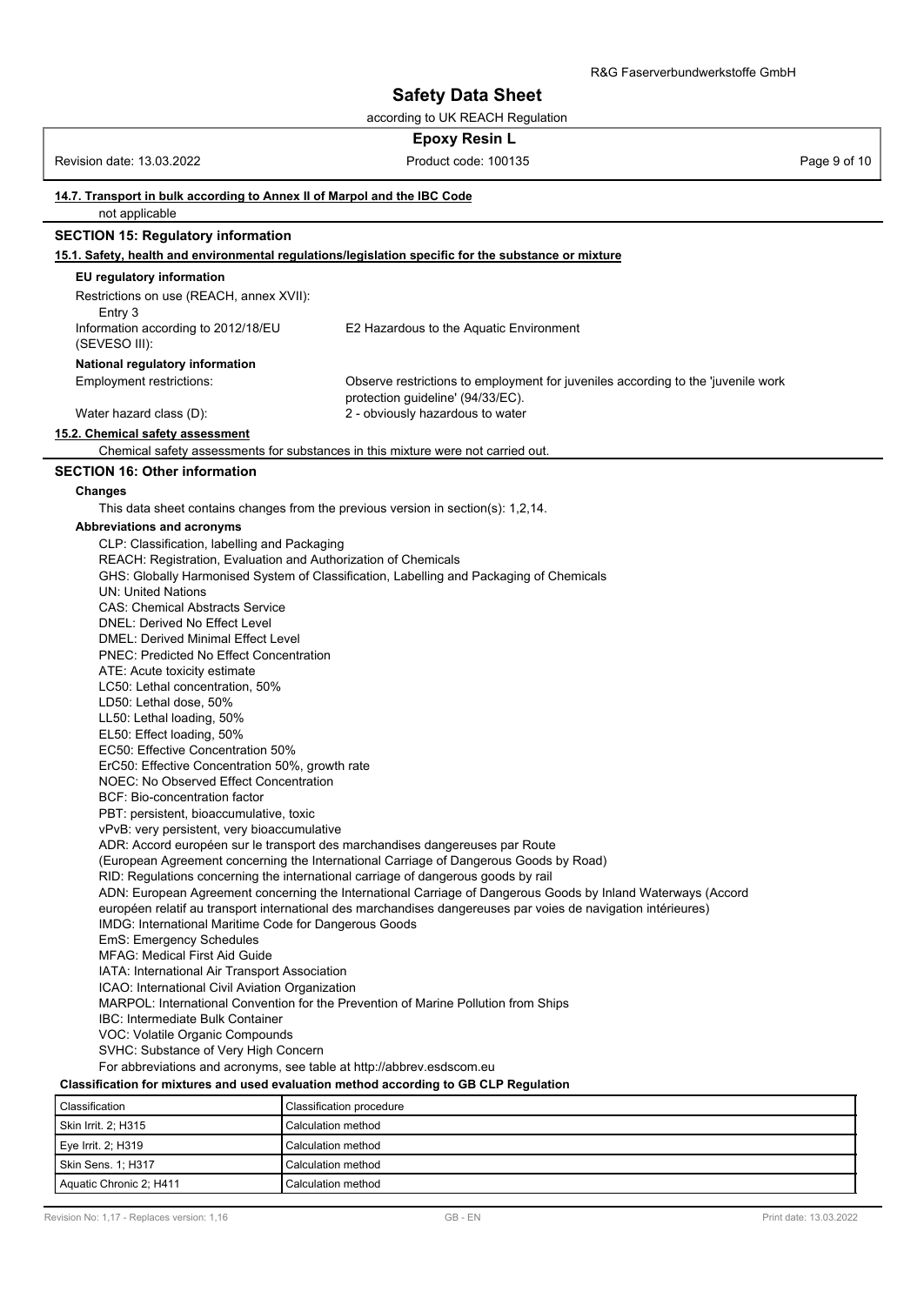according to UK REACH Regulation

#### **Epoxy Resin L**

Revision date: 13.03.2022 **Product code: 100135** Product code: 100135 Page 9 of 10

### **14.7. Transport in bulk according to Annex II of Marpol and the IBC Code** not applicable **SECTION 15: Regulatory information 15.1. Safety, health and environmental regulations/legislation specific for the substance or mixture EU regulatory information** Restrictions on use (REACH, annex XVII): Entry 3 Information according to 2012/18/EU (SEVESO III): E2 Hazardous to the Aquatic Environment **National regulatory information** Observe restrictions to employment for juveniles according to the 'juvenile work protection guideline' (94/33/EC). Employment restrictions: Water hazard class (D): 2 - obviously hazardous to water **15.2. Chemical safety assessment** Chemical safety assessments for substances in this mixture were not carried out. **SECTION 16: Other information Changes** This data sheet contains changes from the previous version in section(s): 1,2,14. **Abbreviations and acronyms** CLP: Classification, labelling and Packaging REACH: Registration, Evaluation and Authorization of Chemicals GHS: Globally Harmonised System of Classification, Labelling and Packaging of Chemicals UN: United Nations CAS: Chemical Abstracts Service DNEL: Derived No Effect Level DMEL: Derived Minimal Effect Level PNEC: Predicted No Effect Concentration ATE: Acute toxicity estimate LC50: Lethal concentration, 50% LD50: Lethal dose, 50% LL50: Lethal loading, 50% EL50: Effect loading, 50% EC50: Effective Concentration 50% ErC50: Effective Concentration 50%, growth rate NOEC: No Observed Effect Concentration BCF: Bio-concentration factor PBT: persistent, bioaccumulative, toxic vPvB: very persistent, very bioaccumulative ADR: Accord européen sur le transport des marchandises dangereuses par Route (European Agreement concerning the International Carriage of Dangerous Goods by Road) RID: Regulations concerning the international carriage of dangerous goods by rail ADN: European Agreement concerning the International Carriage of Dangerous Goods by Inland Waterways (Accord européen relatif au transport international des marchandises dangereuses par voies de navigation intérieures) IMDG: International Maritime Code for Dangerous Goods EmS: Emergency Schedules MFAG: Medical First Aid Guide IATA: International Air Transport Association ICAO: International Civil Aviation Organization MARPOL: International Convention for the Prevention of Marine Pollution from Ships IBC: Intermediate Bulk Container VOC: Volatile Organic Compounds SVHC: Substance of Very High Concern For abbreviations and acronyms, see table at http://abbrev.esdscom.eu **Classification for mixtures and used evaluation method according to GB CLP Regulation** Classification Classification procedure Skin Irrit. 2; H315 Calculation method Eye Irrit. 2; H319 Calculation method

Skin Sens. 1; H317 Calculation method Aquatic Chronic 2; H411 Calculation method